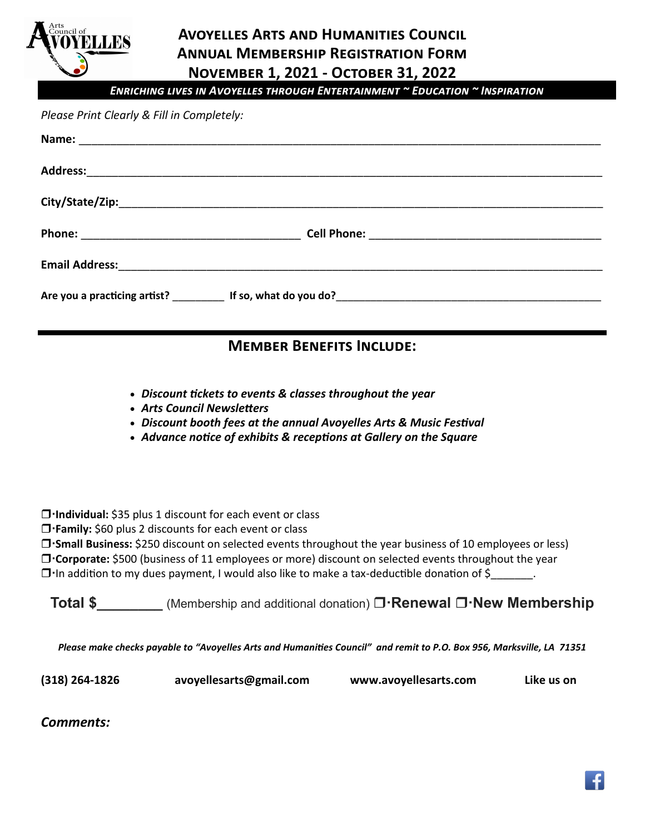

### **Avoyelles Arts and Humanities Council Annual Membership Registration Form November 1, 2021 - October 31, 2022**

*Enriching lives in Avoyelles through Entertainment ~ Education ~ Inspiration*

#### *Please Print Clearly & Fill in Completely:*

| Email Address: 1999 - 1999 - 1999 - 1999 - 1999 - 1999 - 1999 - 1999 - 1999 - 1999 - 1999 - 1999 - 1999 - 199 |  |
|---------------------------------------------------------------------------------------------------------------|--|
|                                                                                                               |  |

### **Member Benefits Include:**

- *Discount tickets to events & classes throughout the year*
- *Arts Council Newsletters*
- *Discount booth fees at the annual Avoyelles Arts & Music Festival*
- *Advance notice of exhibits & receptions at Gallery on the Square*

**Individual:** \$35 plus 1 discount for each event or class

**T** Family: \$60 plus 2 discounts for each event or class

**Small Business:** \$250 discount on selected events throughout the year business of 10 employees or less) **Corporate:** \$500 (business of 11 employees or more) discount on selected events throughout the year  $\square$  In addition to my dues payment, I would also like to make a tax-deductible donation of  $\zeta$ 

**Total \$** (Membership and additional donation) **D Renewal D New Membership** 

*Please make checks payable to "Avoyelles Arts and Humanities Council" and remit to P.O. Box 956, Marksville, LA 71351*

**(318) 264-1826 avoyellesarts@gmail.com www.avoyellesarts.com Like us on** 

*Comments:*